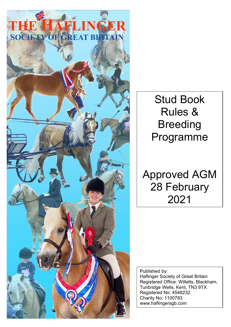

Stud Book Rules & Breeding Programme

Approved AGM 28 February 2021

Published by: Haflinger Society of Great Britain Registered Office: Willetts, Blackham, Tunbridge Wells, Kent, TN3 9TX Registered No: 4548232 Charity No: 1100783 www.haflingersgb.com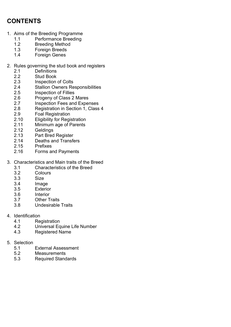# CONTENTS

- 1. Aims of the Breeding Programme
	- 1.1 Performance Breeding
	- 1.2 Breeding Method
	- 1.3 Foreign Breeds
	- 1.4 Foreign Genes
- 2. Rules governing the stud book and registers
	- 2.1 Definitions
	- 2.2 Stud Book
	- 2.3 Inspection of Colts
	- 2.4 Stallion Owners Responsibilities<br>2.5 Inspection of Fillies
	- Inspection of Fillies
	- 2.6 Progeny of Class 2 Mares
	- 2.7 Inspection Fees and Expenses
	- 2.8 Registration in Section 1, Class 4
	- 2.9 Foal Registration
	- 2.10 Eligibility for Registration
	- 2.11 Minimum age of Parents
	- 2.12 Geldings
	- 2.13 Part Bred Register
	- 2.14 Deaths and Transfers
	- 2.15 Prefixes
	- 2.16 Forms and Payments
- 3. Characteristics and Main traits of the Breed
	- 3.1 Characteristics of the Breed
	- 3.2 Colours
	- 3.3 Size
	- 3.4 Image
	- 3.5 Exterior
	- 3.6 Interior
	- 3.7 Other Traits
	- 3.8 Undesirable Traits
- 4. Identification
	- 4.1 Registration
	- 4.2 Universal Equine Life Number
	- 4.3 Registered Name
- 5. Selection
	- 5.1 External Assessment
	- 5.2 Measurements
	- 5.3 Required Standards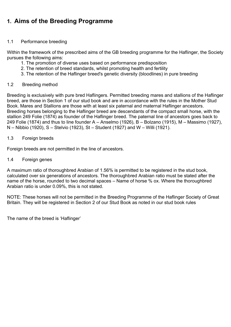# 1. Aims of the Breeding Programme

# 1.1 Performance breeding

Within the framework of the prescribed aims of the GB breeding programme for the Haflinger, the Society pursues the following aims:

- 1. The promotion of diverse uses based on performance predisposition
- 2. The retention of breed standards, whilst promoting health and fertility
- 3. The retention of the Haflinger breed's genetic diversity (bloodlines) in pure breeding

# 1.2 Breeding method

Breeding is exclusively with pure bred Haflingers. Permitted breeding mares and stallions of the Haflinger breed, are those in Section 1 of our stud book and are in accordance with the rules in the Mother Stud Book. Mares and Stallions are those with at least six paternal and maternal Haflinger ancestors. Breeding horses belonging to the Haflinger breed are descendants of the compact small horse, with the stallion 249 Folie (1874) as founder of the Haflinger breed. The paternal line of ancestors goes back to 249 Folie (1874) and thus to line founder A – Anselmo (1926), B – Bolzano (1915), M – Massimo (1927), N – Nibbio (1920), S – Stelvio (1923), St – Student (1927) and W – Willi (1921).

# 1.3 Foreign breeds

Foreign breeds are not permitted in the line of ancestors.

1.4 Foreign genes

A maximum ratio of thoroughbred Arabian of 1.56% is permitted to be registered in the stud book, calculated over six generations of ancestors. The thoroughbred Arabian ratio must be stated after the name of the horse, rounded to two decimal spaces – Name of horse % ox. Where the thoroughbred Arabian ratio is under 0.09%, this is not stated.

NOTE: These horses will not be permitted in the Breeding Programme of the Haflinger Society of Great Britain. They will be registered in Section 2 of our Stud Book as noted in our stud book rules

The name of the breed is 'Haflinger'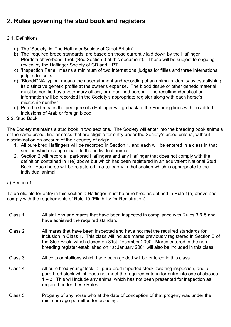# 2. Rules governing the stud book and registers

# 2.1. Definitions

- a) The 'Society' is 'The Haflinger Society of Great Britain'
- b) The 'required breed standards' are based on those currently laid down by the Haflinger Pferdezuchtverband Tirol. (See Section 3 of this document). These will be subject to ongoing review by the Haflinger Society of GB and HPT
- c) 'Inspection Panel' means a minimum of two International judges for fillies and three International judges for colts.
- d) 'Blood/DNA typing' means the ascertainment and recording of an animal's identity by establishing its distinctive genetic profile at the owner's expense. The blood tissue or other genetic material must be certified by a veterinary officer, or a qualified person. The resulting identification information will be recorded in the Society's appropriate register along with each horse's microchip number
- e) Pure bred means the pedigree of a Haflinger will go back to the Founding lines with no added inclusions of Arab or foreign blood.
- 2.2. Stud Book

The Society maintains a stud book in two sections. The Society will enter into the breeding book animals of the same breed, line or cross that are eligible for entry under the Society's breed criteria, without discrimination on account of their country of origin

- 1. All pure bred Haflingers will be recorded in Section 1, and each will be entered in a class in that section which is appropriate to that individual animal.
- 2. Section 2 will record all part-bred Haflingers and any Haflinger that does not comply with the definition contained in 1(e) above but which has been registered in an equivalent National Stud Book. Each horse will be registered in a category in that section which is appropriate to the individual animal.

# a) Section 1

To be eligible for entry in this section a Haflinger must be pure bred as defined in Rule 1(e) above and comply with the requirements of Rule 10 (Eligibility for Registration).

| Class 1 | All stallions and mares that have been inspected in compliance with Rules 3 & 5 and<br>have achieved the required standard                                                                                                                                                                                                                            |
|---------|-------------------------------------------------------------------------------------------------------------------------------------------------------------------------------------------------------------------------------------------------------------------------------------------------------------------------------------------------------|
| Class 2 | All mares that have been inspected and have not met the required standards for<br>inclusion in Class 1. This class will include mares previously registered in Section B of<br>the Stud Book, which closed on 31st December 2000. Mares entered in the non-<br>breeding register established on 1st January 2001 will also be included in this class. |
| Class 3 | All colts or stallions which have been gelded will be entered in this class.                                                                                                                                                                                                                                                                          |
| Class 4 | All pure bred youngstock, all pure-bred imported stock awaiting inspection, and all<br>pure-bred stock which does not meet the required criteria for entry into one of classes<br>$1 - 3$ . This will include any animal which has not been presented for inspection as<br>required under these Rules.                                                |
| Class 5 | Progeny of any horse who at the date of conception of that progeny was under the                                                                                                                                                                                                                                                                      |

minimum age permitted for breeding.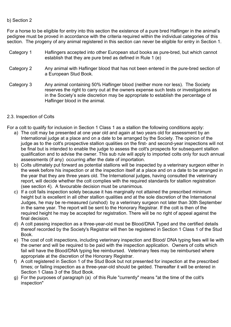### b) Section 2

For a horse to be eligible for entry into this section the existence of a pure bred Haflinger in the animal's pedigree must be proved in accordance with the criteria required within the individual categories of this section. The progeny of any animal registered in this section can never be eligible for entry in Section 1.

| Category 1 | Haflingers accepted into other European stud books as pure-bred, but which cannot<br>establish that they are pure bred as defined in Rule 1 (e)                                                                                                                                                 |
|------------|-------------------------------------------------------------------------------------------------------------------------------------------------------------------------------------------------------------------------------------------------------------------------------------------------|
| Category 2 | Any animal with Haflinger blood that has not been entered in the pure-bred section of<br>a European Stud Book.                                                                                                                                                                                  |
| Category 3 | Any animal containing 50% Haflinger blood (neither more nor less). The Society<br>reserves the right to carry out at the owners expense such tests or investigations as<br>in the Society's sole discretion may be appropriate to establish the percentage of<br>Haflinger blood in the animal. |

### 2.3. Inspection of Colts

For a colt to qualify for inclusion in Section 1 Class 1 as a stallion the following conditions apply:

- a) The colt may be presented at one year old and again at two years old for assessment by an International judge at a place and on a date to be arranged by the Society. The opinion of the judge as to the colt's prospective stallion qualities on the first- and second-year inspections will not be final but is intended to enable the judge to assess the colt's prospects for subsequent stallion qualification and to advise the owner. This sub rule will apply to imported colts only for such annual assessments (if any) occurring after the date of importation.
- b) Colts ultimately put forward as potential stallions will be inspected by a veterinary surgeon either in the week before his inspection or at the inspection itself at a place and on a date to be arranged in the year that they are three years old. The International judges, having consulted the veterinary report, will decide whether the colt complies with the required standards for stallion registration (see section 4). A favourable decision must be unanimous.
- c) If a colt fails inspection solely because it has marginally not attained the prescribed minimum height but is excellent in all other stallion qualities and at the sole discretion of the International Judges, he may be re-measured (unshod) by a veterinary surgeon not later than 30th September in the same year. The report will be sent to the Honorary Registrar. If the colt is then of the required height he may be accepted for registration. There will be no right of appeal against the final decision.
- d) A colt passing inspection as a three-year-old must be Blood/DNA Typed and the certified details thereof recorded by the Society's Registrar will then be registered in Section 1 Class 1 of the Stud Book.
- e) The cost of colt inspections, including veterinary inspection and Blood/ DNA typing fees will lie with the owner and will be required to be paid with the inspection application. Owners of colts which fail will have the Blood/DNA typing fee reimbursed. Veterinary fees may be reimbursed where appropriate at the discretion of the Honorary Registrar.
- f) A colt registered in Section 1 of the Stud Book but not presented for inspection at the prescribed times; or failing inspection as a three-year-old should be gelded. Thereafter it will be entered in Section 1 Class 3 of the Stud Book.
- g) For the purposes of paragraph (a) of this Rule "currently" means "at the time of the colt's inspection"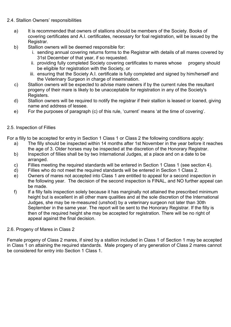# 2.4. Stallion Owners' responsibilities

- a) It is recommended that owners of stallions should be members of the Society. Books of covering certificates and A.I. certificates, necessary for foal registration, will be issued by the Registrar.
- b) Stallion owners will be deemed responsible for:
	- i. sending annual covering returns forms to the Registrar with details of all mares covered by 31st December of that year, if so requested.
	- ii. providing fully completed Society covering certificates to mares whose progeny should be eligible for registration with the Society, or
	- iii. ensuring that the Society A.I. certificate is fully completed and signed by him/herself and the Veterinary Surgeon in charge of insemination.
- c) Stallion owners will be expected to advise mare owners if by the current rules the resultant progeny of their mare is likely to be unacceptable for registration in any of the Society's Registers.
- d) Stallion owners will be required to notify the registrar if their stallion is leased or loaned, giving name and address of lessee.
- e) For the purposes of paragraph (c) of this rule, 'current' means 'at the time of covering'.

### 2.5. Inspection of Fillies

For a filly to be accepted for entry in Section 1 Class 1 or Class 2 the following conditions apply:

- a) The filly should be inspected within 14 months after 1st November in the year before it reaches the age of 3. Older horses may be inspected at the discretion of the Honorary Registrar.
- b) Inspection of fillies shall be by two International Judges, at a place and on a date to be arranged.
- c) Fillies meeting the required standards will be entered in Section 1 Class 1 (see section 4).
- d) Fillies who do not meet the required standards will be entered in Section 1 Class 2.
- e) Owners of mares not accepted into Class 1 are entitled to appeal for a second inspection in the following year. The decision of the second inspection is FINAL, and NO further appeal can be made.
- f) If a filly fails inspection solely because it has marginally not attained the prescribed minimum height but is excellent in all other mare qualities and at the sole discretion of the International Judges, she may be re-measured (unshod) by a veterinary surgeon not later than 30th September in the same year. The report will be sent to the Honorary Registrar. If the filly is then of the required height she may be accepted for registration. There will be no right of appeal against the final decision.

#### 2.6. Progeny of Mares in Class 2

Female progeny of Class 2 mares, if sired by a stallion included in Class 1 of Section 1 may be accepted in Class 1 on attaining the required standards. Male progeny of any generation of Class 2 mares cannot be considered for entry into Section 1 Class 1.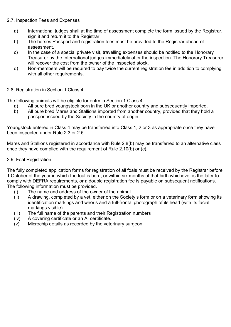# 2.7. Inspection Fees and Expenses

- a) International judges shall at the time of assessment complete the form issued by the Registrar, sign it and return it to the Registrar
- b) The horses Passport and registration fees must be provided to the Registrar ahead of assessment.
- c) In the case of a special private visit, travelling expenses should be notified to the Honorary Treasurer by the International judges immediately after the inspection. The Honorary Treasurer will recover the cost from the owner of the inspected stock.
- d) Non-members will be required to pay twice the current registration fee in addition to complying with all other requirements.

# 2.8. Registration in Section 1 Class 4

The following animals will be eligible for entry in Section 1 Class 4.

- a) All pure bred youngstock born in the UK or another country and subsequently imported.
- b) All pure bred Mares and Stallions imported from another country, provided that they hold a passport issued by the Society in the country of origin.

Youngstock entered in Class 4 may be transferred into Class 1, 2 or 3 as appropriate once they have been inspected under Rule 2.3 or 2.5.

Mares and Stallions registered in accordance with Rule 2.8(b) may be transferred to an alternative class once they have complied with the requirement of Rule 2.10(b) or (c).

# 2.9. Foal Registration

The fully completed application forms for registration of all foals must be received by the Registrar before 1 October of the year in which the foal is born, or within six months of that birth whichever is the later to comply with DEFRA requirements, or a double registration fee is payable on subsequent notifications. The following information must be provided.

- (i) The name and address of the owner of the animal
- (ii) A drawing, completed by a vet, either on the Society's form or on a veterinary form showing its identification markings and whorls and a full-frontal photograph of its head (with its facial markings visible).
- (iii) The full name of the parents and their Registration numbers
- (iv) A covering certificate or an AI certificate.
- (v) Microchip details as recorded by the veterinary surgeon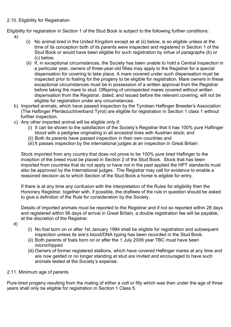### 2.10. Eligibility for Registration

Eligibility for registration in Section 1 of the Stud Book is subject to the following further conditions:

- a)
- (i) No animal bred in the United Kingdom except as at (ii) below, is so eligible unless at the time of its conception both of its parents were inspected and registered in Section 1 of the Stud Book or would have been eligible for such registration by virtue of paragraphs (b) or (c) below.
- (ii) If, in exceptional circumstances, the Society has been unable to hold a Central Inspection in a particular year, owners of three-year-old fillies may apply to the Registrar for a special dispensation for covering to take place. A mare covered under such dispensation must be inspected prior to foaling for the progeny to be eligible for registration. Mare owners in these exceptional circumstances must be in possession of a written approval from the Registrar before taking the mare to stud. Offspring of uninspected mares covered without written dispensation from the Registrar, dated, and issued before the relevant covering, will not be eligible for registration under any circumstances.
- b) Imported animals, which have passed inspection by the Tyrolean Haflinger Breeder's Association (The Haflinger Pferdezuchtverband Tyrol) are eligible for registration in Section 1 class 1 without further inspection.
- c) Any other imported animal will be eligible only if:
	- (i) It can be shown to the satisfaction of the Society's Registrar that it has 100% pure Haflinger blood with a pedigree originating in all ancestral lines with Austrian stock; and
	- (ii) Both its parents have passed inspection in their own countries and
	- (iii) It passes inspection by the international judges at an inspection in Great Britain

Stock imported from any country that does not prove to be 100% pure bred Haflinger to the inception of the breed must be placed in Section 2 of the Stud Book. Stock that has been imported from countries that do not apply or have not in the past applied the HPT standards must also be approved by the International judges. The Registrar may call for evidence to enable a reasoned decision as to which Section of the Stud Book a horse is eligible for entry.

If there is at any time any confusion with the interpretation of the Rules for eligibility then the Honorary Registrar, together with, if possible, the draftees of the rule in question should be asked to give a definition of the Rule for consideration by the Society.

Details of imported animals must be reported to the Registrar and if not so reported within 28 days and registered within 56 days of arrival in Great Britain, a double registration fee will be payable, at the discretion of the Registrar.

- d)
- (i) No foal born on or after 1st January 1994 shall be eligible for registration and subsequent inspection unless its sire's blood/DNA typing has been recorded in the Stud Book.
- (ii) Both parents of foals born on or after the 1 July 2009 year TBC must have been microchipped
- (iii) Owners of former registered stallions, which have covered Haflinger mares at any time and are now gelded or no longer standing at stud are invited and encouraged to have such animals tested at the Society's expense.

# 2.11. Minimum age of parents

Pure-bred progeny resulting from the mating of either a colt or filly which was then under the age of three years shall only be eligible for registration in Section 1 Class 5.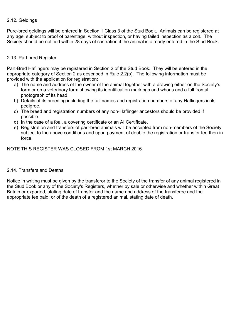# 2.12. Geldings

Pure-bred geldings will be entered in Section 1 Class 3 of the Stud Book. Animals can be registered at any age, subject to proof of parentage, without inspection, or having failed inspection as a colt. The Society should be notified within 28 days of castration if the animal is already entered in the Stud Book.

### 2.13. Part bred Register

Part-Bred Haflingers may be registered in Section 2 of the Stud Book. They will be entered in the appropriate category of Section 2 as described in Rule 2.2(b). The following information must be provided with the application for registration:

- a) The name and address of the owner of the animal together with a drawing either on the Society's form or on a veterinary form showing its identification markings and whorls and a full frontal photograph of its head.
- b) Details of its breeding including the full names and registration numbers of any Haflingers in its pedigree.
- c) The breed and registration numbers of any non-Haflinger ancestors should be provided if possible.
- d) In the case of a foal, a covering certificate or an AI Certificate.
- e) Registration and transfers of part-bred animals will be accepted from non-members of the Society subject to the above conditions and upon payment of double the registration or transfer fee then in force.

NOTE THIS REGISTER WAS CLOSED FROM 1st MARCH 2016

#### 2.14. Transfers and Deaths

Notice in writing must be given by the transferor to the Society of the transfer of any animal registered in the Stud Book or any of the Society's Registers, whether by sale or otherwise and whether within Great Britain or exported, stating date of transfer and the name and address of the transferee and the appropriate fee paid; or of the death of a registered animal, stating date of death.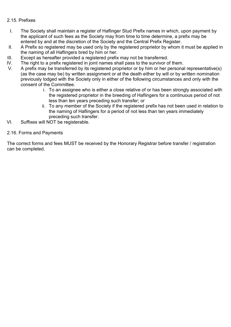# 2.15. Prefixes

- I. The Society shall maintain a register of Haflinger Stud Prefix names in which, upon payment by the applicant of such fees as the Society may from time to time determine, a prefix may be entered by and at the discretion of the Society and the Central Prefix Register.
- II. A Prefix so registered may be used only by the registered proprietor by whom it must be applied in the naming of all Haflingers bred by him or her.
- III. Except as hereafter provided a registered prefix may not be transferred.
- IV. The right to a prefix registered in joint names shall pass to the survivor of them.
- V. A prefix may be transferred by its registered proprietor or by him or her personal representative(s) (as the case may be) by written assignment or at the death either by will or by written nomination previously lodged with the Society only in either of the following circumstances and only with the consent of the Committee.
	- i. To an assignee who is either a close relative of or has been strongly associated with the registered proprietor in the breeding of Haflingers for a continuous period of not less than ten years preceding such transfer; or
	- ii. To any member of the Society if the registered prefix has not been used in relation to the naming of Haflingers for a period of not less than ten years immediately preceding such transfer.
- VI. Suffixes will NOT be registerable.

#### 2.16. Forms and Payments

The correct forms and fees MUST be received by the Honorary Registrar before transfer / registration can be completed.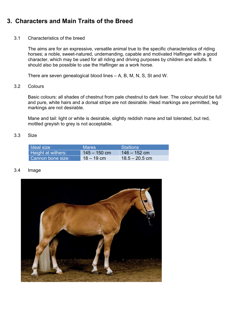# 3. Characters and Main Traits of the Breed

#### 3.1 Characteristics of the breed

The aims are for an expressive, versatile animal true to the specific characteristics of riding horses; a noble, sweet-natured, undemanding, capable and motivated Haflinger with a good character, which may be used for all riding and driving purposes by children and adults. It should also be possible to use the Haflinger as a work horse.

There are seven genealogical blood lines – A, B, M, N, S, St and W.

#### 3.2 Colours

Basic colours: all shades of chestnut from pale chestnut to dark liver. The colour should be full and pure, white hairs and a dorsal stripe are not desirable. Head markings are permitted, leg markings are not desirable.

Mane and tail: light or white is desirable, slightly reddish mane and tail tolerated, but red, mottled greyish to grey is not acceptable.

#### 3.3 Size

| I Ideal size              | <b>Mares</b>   | <b>Stallions</b> |
|---------------------------|----------------|------------------|
| <b>Height at withers:</b> | $145 - 150$ cm | $146 - 152$ cm   |
| Cannon bone size:         | $18 - 19$ cm   | $18.5 - 20.5$ cm |

#### 3.4 Image

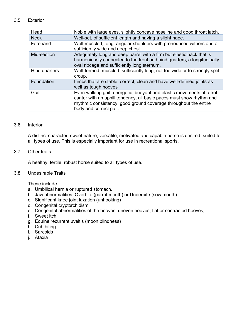### 3.5 Exterior

| Head          | Noble with large eyes, slightly concave noseline and good throat latch.                                                                                                                                                                      |
|---------------|----------------------------------------------------------------------------------------------------------------------------------------------------------------------------------------------------------------------------------------------|
| <b>Neck</b>   | Well-set, of sufficient length and having a slight nape.                                                                                                                                                                                     |
| Forehand      | Well-muscled, long, angular shoulders with pronounced withers and a<br>sufficiently wide and deep chest.                                                                                                                                     |
| Mid-section   | Adequately long and deep barrel with a firm but elastic back that is<br>harmoniously connected to the front and hind quarters, a longitudinally<br>oval ribcage and sufficiently long sternum.                                               |
| Hind quarters | Well-formed, muscled, sufficiently long, not too wide or to strongly split<br>croup.                                                                                                                                                         |
| Foundation    | Limbs that are stable, correct, clean and have well-defined joints as<br>well as tough hooves                                                                                                                                                |
| Gait          | Even walking gait, energetic, buoyant and elastic movements at a trot,<br>canter with an uphill tendency, all basic paces must show rhythm and<br>rhythmic consistency, good ground coverage throughout the entire<br>body and correct gait. |

### 3.6 Interior

A distinct character, sweet nature, versatile, motivated and capable horse is desired, suited to all types of use. This is especially important for use in recreational sports.

#### 3.7 Other traits

A healthy, fertile, robust horse suited to all types of use.

# 3.8 Undesirable Traits

These include:

- a. Umbilical hernia or ruptured stomach.
- b. Jaw abnormalities: Overbite (parrot mouth) or Underbite (sow mouth)
- c. Significant knee joint luxation (unhooking)
- d. Congenital cryptorchidism
- e. Congenital abnormalities of the hooves, uneven hooves, flat or contracted hooves,
- f. Sweet itch
- g. Equine recurrent uveitis (moon blindness)
- h. Crib biting
- i. Sarcoids
- j. Ataxia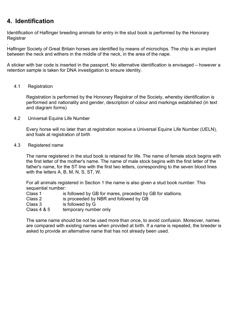# 4. Identification

Identification of Haflinger breeding animals for entry in the stud book is performed by the Honorary **Registrar** 

. Haflinger Society of Great Britain horses are identified by means of microchips. The chip is an implant between the neck and withers in the middle of the neck, in the area of the nape.

A sticker with bar code is inserted in the passport. No alternative identification is envisaged – however a retention sample is taken for DNA investigation to ensure identity.

#### 4.1 Registration

Registration is performed by the Honorary Registrar of the Society, whereby identification is performed and nationality and gender, description of colour and markings established (in text and diagram forms)

4.2 Universal Equine Life Number

Every horse will no later than at registration receive a Universal Equine Life Number (UELN), and foals at registration of birth

4.3 Registered name

The name registered in the stud book is retained for life. The name of female stock begins with the first letter of the mother's name. The name of male stock begins with the first letter of the father's name, for the ST line with the first two letters, corresponding to the seven blood lines with the letters A, B, M, N, S, ST, W.

For all animals registered in Section 1 the name is also given a stud book number. This sequential number:

| Class 1 |  |  | is followed by GB for mares, preceded by GB for stallions. |  |
|---------|--|--|------------------------------------------------------------|--|
|---------|--|--|------------------------------------------------------------|--|

Class 2 is proceeded by NBR and followed by GB

- Class 3 is followed by G
- Class 4 & 5 temporary number only

The same name should be not be used more than once, to avoid confusion. Moreover, names are compared with existing names when provided at birth. If a name is repeated, the breeder is asked to provide an alternative name that has not already been used.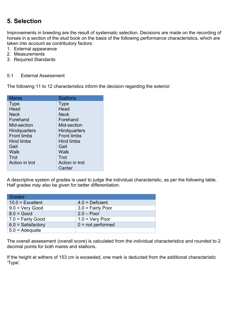# 5. Selection

Improvements in breeding are the result of systematic selection. Decisions are made on the recording of horses in a section of the stud book on the basis of the following performance characteristics, which are taken into account as contributory factors:

- 1. External appearance
- 2. Measurements
- 3. Required Standards

#### 5.1 External Assessment

The following 11 to 12 characteristics inform the decision regarding the exterior:

| Mares               | <b>Stallions</b>    |
|---------------------|---------------------|
| <b>Type</b>         | Type                |
| Head                | Head                |
| Neck                | Neck                |
| Forehand            | Forehand            |
| Mid-section         | Mid-section         |
| <b>Hindquarters</b> | <b>Hindquarters</b> |
| <b>Front limbs</b>  | <b>Front limbs</b>  |
| Hind limbs          | Hind limbs          |
| Gait                | Gait                |
| Walk                | Walk                |
| Trot                | Trot                |
| Action in trot      | Action in trot      |
|                     | Canter              |

A descriptive system of grades is used to judge the individual characteristic, as per the following table. Half grades may also be given for better differentiation.

| <b>Grades</b>            |                     |
|--------------------------|---------------------|
| $10.0$ = Excellent       | $4.0 =$ Deficient   |
| $9.0 = \text{Very Good}$ | $3.0$ = Fairly Poor |
| $8.0 = Good$             | $2.0 - Poor$        |
| $7.0 =$ Fairly Good      | $1.0 = V$ ery Poor  |
| $6.0 =$ Satisfactory     | $0 = not performed$ |
| $5.0 = \text{Adequate}$  |                     |

The overall assessment (overall score) is calculated from the individual characteristics and rounded to 2 decimal points for both mares and stallions.

If the height at withers of 153 cm is exceeded, one mark is deducted from the additional characteristic 'Type'.